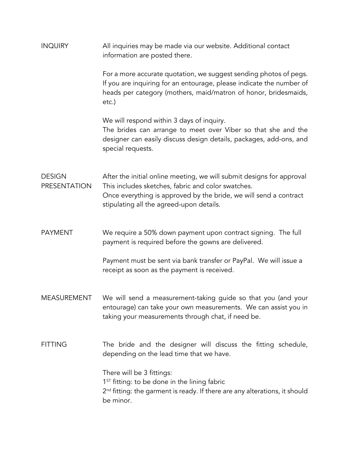| <b>INQUIRY</b>                | All inquiries may be made via our website. Additional contact<br>information are posted there.                                                                                                                                               |
|-------------------------------|----------------------------------------------------------------------------------------------------------------------------------------------------------------------------------------------------------------------------------------------|
|                               | For a more accurate quotation, we suggest sending photos of pegs.<br>If you are inquiring for an entourage, please indicate the number of<br>heads per category (mothers, maid/matron of honor, bridesmaids,<br>$etc.$ )                     |
|                               | We will respond within 3 days of inquiry.<br>The brides can arrange to meet over Viber so that she and the<br>designer can easily discuss design details, packages, add-ons, and<br>special requests.                                        |
| <b>DESIGN</b><br>PRESENTATION | After the initial online meeting, we will submit designs for approval<br>This includes sketches, fabric and color swatches.<br>Once everything is approved by the bride, we will send a contract<br>stipulating all the agreed-upon details. |
| <b>PAYMENT</b>                | We require a 50% down payment upon contract signing. The full<br>payment is required before the gowns are delivered.                                                                                                                         |
|                               | Payment must be sent via bank transfer or PayPal. We will issue a<br>receipt as soon as the payment is received.                                                                                                                             |
| MEASUREMENT                   | We will send a measurement-taking guide so that you (and your<br>entourage) can take your own measurements. We can assist you in<br>taking your measurements through chat, if need be.                                                       |
| <b>FITTING</b>                | The bride and the designer will discuss the fitting schedule,<br>depending on the lead time that we have.                                                                                                                                    |
|                               | There will be 3 fittings:<br>$1ST$ fitting: to be done in the lining fabric<br>2 <sup>nd</sup> fitting: the garment is ready. If there are any alterations, it should<br>be minor.                                                           |
|                               |                                                                                                                                                                                                                                              |